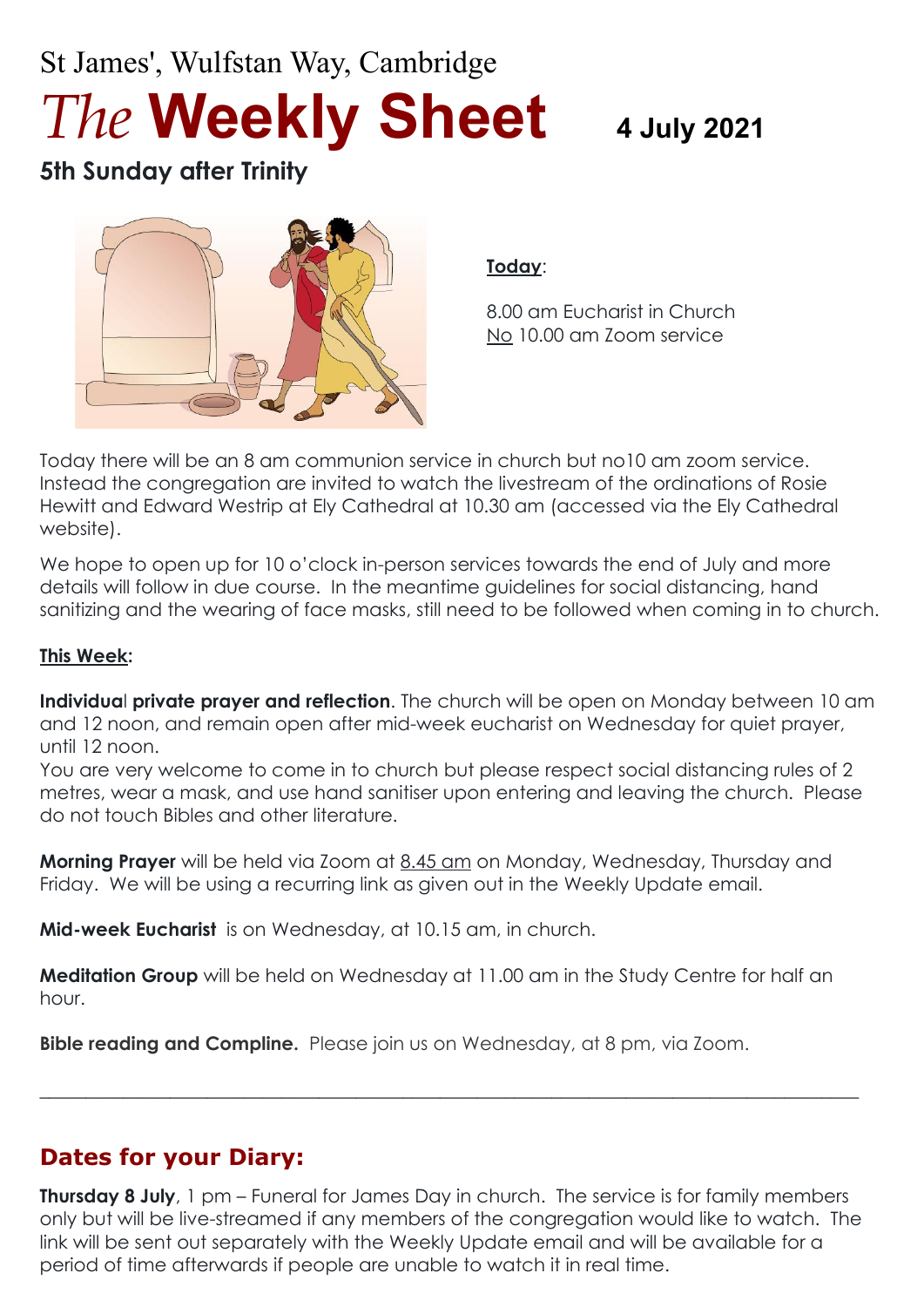# St James', Wulfstan Way, Cambridge *The* **Weekly Sheet 4 July <sup>2021</sup>**

# **5th Sunday after Trinity**



## **Today**:

8.00 am Eucharist in Church No 10.00 am Zoom service

Today there will be an 8 am communion service in church but no10 am zoom service. Instead the congregation are invited to watch the livestream of the ordinations of Rosie Hewitt and Edward Westrip at Ely Cathedral at 10.30 am (accessed via the Ely Cathedral website).

We hope to open up for 10 o'clock in-person services towards the end of July and more details will follow in due course. In the meantime guidelines for social distancing, hand sanitizing and the wearing of face masks, still need to be followed when coming in to church.

## **This Week:**

**Individua**l **private prayer and reflection**. The church will be open on Monday between 10 am and 12 noon, and remain open after mid-week eucharist on Wednesday for quiet prayer, until 12 noon.

You are very welcome to come in to church but please respect social distancing rules of 2 metres, wear a mask, and use hand sanitiser upon entering and leaving the church. Please do not touch Bibles and other literature.

**Morning Prayer** will be held via Zoom at 8.45 am on Monday, Wednesday, Thursday and Friday. We will be using a recurring link as given out in the Weekly Update email.

**Mid-week Eucharist** is on Wednesday, at 10.15 am, in church.

**Meditation Group** will be held on Wednesday at 11.00 am in the Study Centre for half an hour.

 $\_$  , and the set of the set of the set of the set of the set of the set of the set of the set of the set of the set of the set of the set of the set of the set of the set of the set of the set of the set of the set of th

**Bible reading and Compline.** Please join us on Wednesday, at 8 pm, via Zoom.

# **Dates for your Diary:**

**Thursday 8 July**, 1 pm – Funeral for James Day in church. The service is for family members only but will be live-streamed if any members of the congregation would like to watch. The link will be sent out separately with the Weekly Update email and will be available for a period of time afterwards if people are unable to watch it in real time.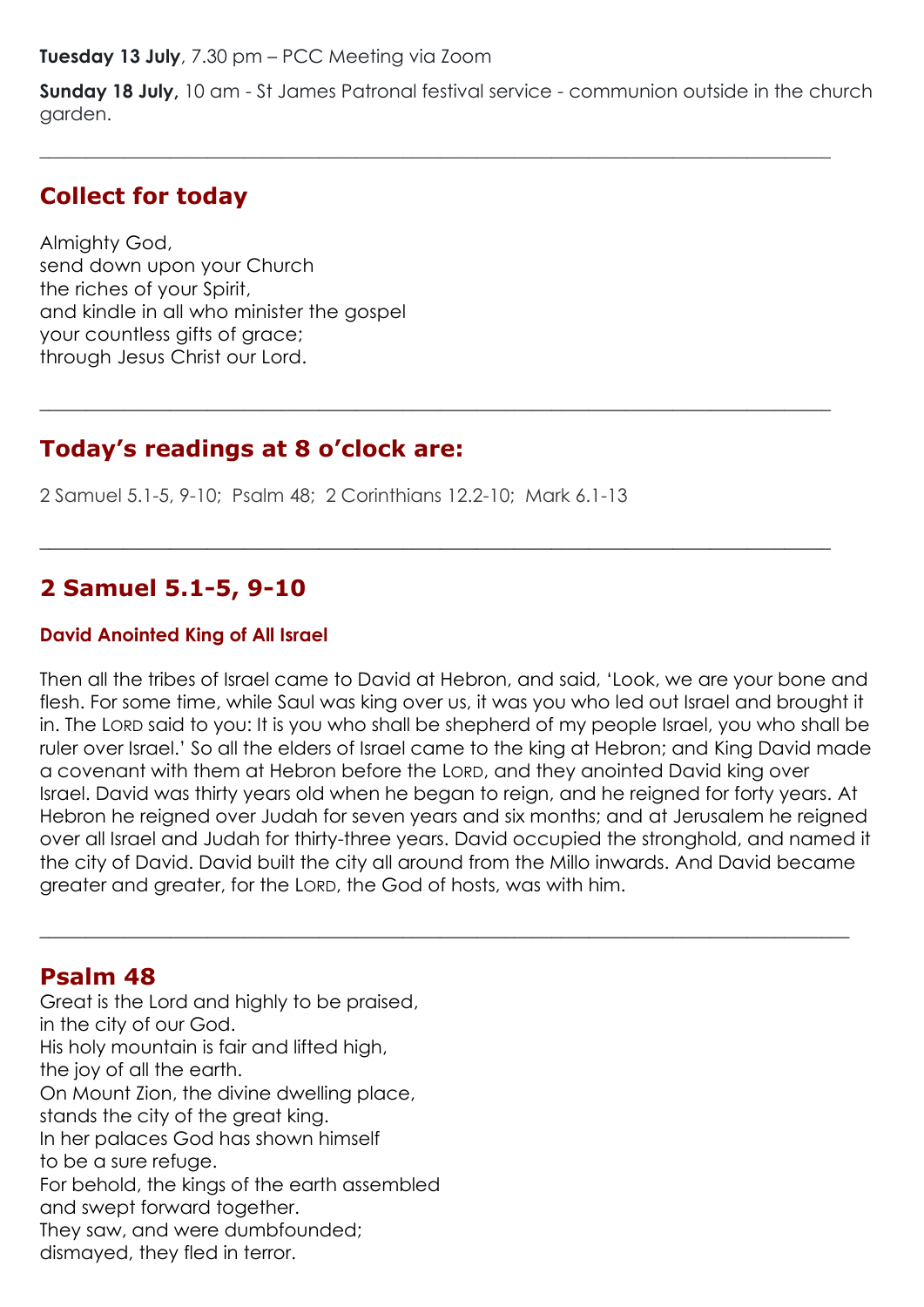**Tuesday 13 July**, 7.30 pm – PCC Meeting via Zoom

**Sunday 18 July,** 10 am - St James Patronal festival service - communion outside in the church garden.

 $\_$  , and the set of the set of the set of the set of the set of the set of the set of the set of the set of the set of the set of the set of the set of the set of the set of the set of the set of the set of the set of th

**\_\_\_\_\_\_\_\_\_\_\_\_\_\_\_\_\_\_\_\_\_\_\_\_\_\_\_\_\_\_\_\_\_\_\_\_\_\_\_\_\_\_\_\_\_\_\_\_\_\_\_\_\_\_\_\_\_\_\_\_\_\_\_\_\_\_\_\_\_\_\_\_\_\_\_\_\_\_\_\_\_\_\_\_\_**

 $\_$  , and the set of the set of the set of the set of the set of the set of the set of the set of the set of the set of the set of the set of the set of the set of the set of the set of the set of the set of the set of th

## **Collect for today**

Almighty God, send down upon your Church the riches of your Spirit, and kindle in all who minister the gospel your countless gifts of grace; through Jesus Christ our Lord.

## **Today's readings at 8 o'clock are:**

2 Samuel 5.1-5, 9-10; Psalm 48; 2 Corinthians 12.2-10; Mark 6.1-13

## **2 Samuel 5.1-5, 9-10**

### **David Anointed King of All Israel**

Then all the tribes of Israel came to David at Hebron, and said, 'Look, we are your bone and flesh. For some time, while Saul was king over us, it was you who led out Israel and brought it in. The LORD said to you: It is you who shall be shepherd of my people Israel, you who shall be ruler over Israel.' So all the elders of Israel came to the king at Hebron; and King David made a covenant with them at Hebron before the LORD, and they anointed David king over Israel. David was thirty years old when he began to reign, and he reigned for forty years. At Hebron he reigned over Judah for seven years and six months; and at Jerusalem he reigned over all Israel and Judah for thirty-three years. David occupied the stronghold, and named it the city of David. David built the city all around from the Millo inwards. And David became greater and greater, for the LORD, the God of hosts, was with him.

 $\_$  , and the set of the set of the set of the set of the set of the set of the set of the set of the set of the set of the set of the set of the set of the set of the set of the set of the set of the set of the set of th

## **Psalm 48**

Great is the Lord and highly to be praised, in the city of our God. His holy mountain is fair and lifted high, the joy of all the earth. On Mount Zion, the divine dwelling place, stands the city of the great king. In her palaces God has shown himself to be a sure refuge. For behold, the kings of the earth assembled and swept forward together. They saw, and were dumbfounded; dismayed, they fled in terror.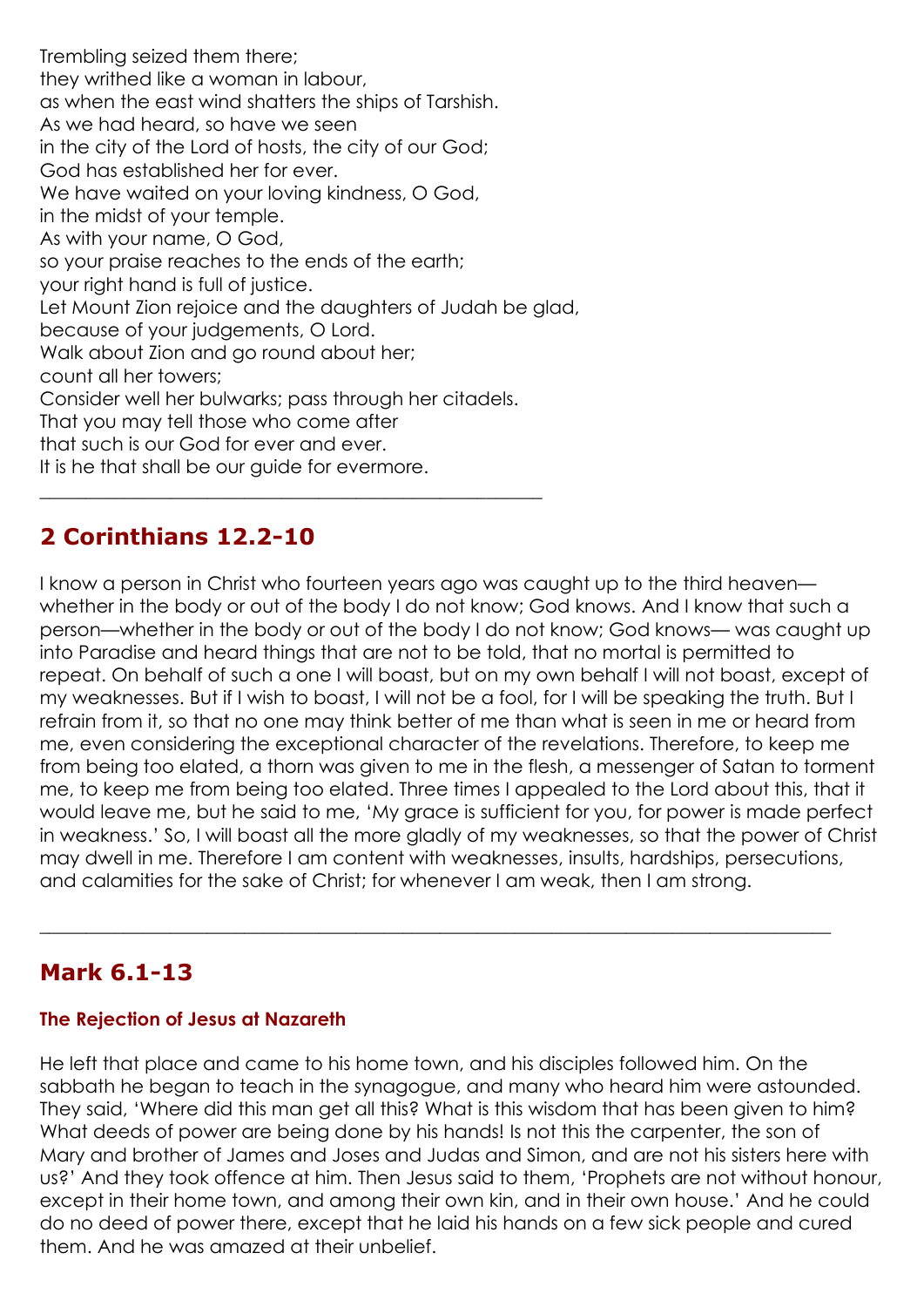Trembling seized them there; they writhed like a woman in labour, as when the east wind shatters the ships of Tarshish. As we had heard, so have we seen in the city of the Lord of hosts, the city of our God; God has established her for ever. We have waited on your loving kindness, O God, in the midst of your temple. As with your name, O God, so your praise reaches to the ends of the earth; your right hand is full of justice. Let Mount Zion rejoice and the daughters of Judah be glad, because of your judgements, O Lord. Walk about Zion and go round about her; count all her towers; Consider well her bulwarks; pass through her citadels. That you may tell those who come after that such is our God for ever and ever. It is he that shall be our quide for evermore. \_\_\_\_\_\_\_\_\_\_\_\_\_\_\_\_\_\_\_\_\_\_\_\_\_\_\_\_\_\_\_\_\_\_\_\_\_\_\_\_\_\_\_\_\_\_\_\_\_\_\_\_\_\_

## **2 Corinthians 12.2-10**

I know a person in Christ who fourteen years ago was caught up to the third heaven whether in the body or out of the body I do not know; God knows. And I know that such a person—whether in the body or out of the body I do not know; God knows— was caught up into Paradise and heard things that are not to be told, that no mortal is permitted to repeat. On behalf of such a one I will boast, but on my own behalf I will not boast, except of my weaknesses. But if I wish to boast, I will not be a fool, for I will be speaking the truth. But I refrain from it, so that no one may think better of me than what is seen in me or heard from me, even considering the exceptional character of the revelations. Therefore, to keep me from being too elated, a thorn was given to me in the flesh, a messenger of Satan to torment me, to keep me from being too elated. Three times I appealed to the Lord about this, that it would leave me, but he said to me, 'My grace is sufficient for you, for power is made perfect in weakness.' So, I will boast all the more gladly of my weaknesses, so that the power of Christ may dwell in me. Therefore I am content with weaknesses, insults, hardships, persecutions, and calamities for the sake of Christ; for whenever I am weak, then I am strong.

 $\_$  , and the set of the set of the set of the set of the set of the set of the set of the set of the set of the set of the set of the set of the set of the set of the set of the set of the set of the set of the set of th

# **Mark 6.1-13**

## **The Rejection of Jesus at Nazareth**

He left that place and came to his home town, and his disciples followed him. On the sabbath he began to teach in the synagogue, and many who heard him were astounded. They said, 'Where did this man get all this? What is this wisdom that has been given to him? What deeds of power are being done by his hands! Is not this the carpenter, the son of Mary and brother of James and Joses and Judas and Simon, and are not his sisters here with us?' And they took offence at him. Then Jesus said to them, 'Prophets are not without honour, except in their home town, and among their own kin, and in their own house.' And he could do no deed of power there, except that he laid his hands on a few sick people and cured them. And he was amazed at their unbelief.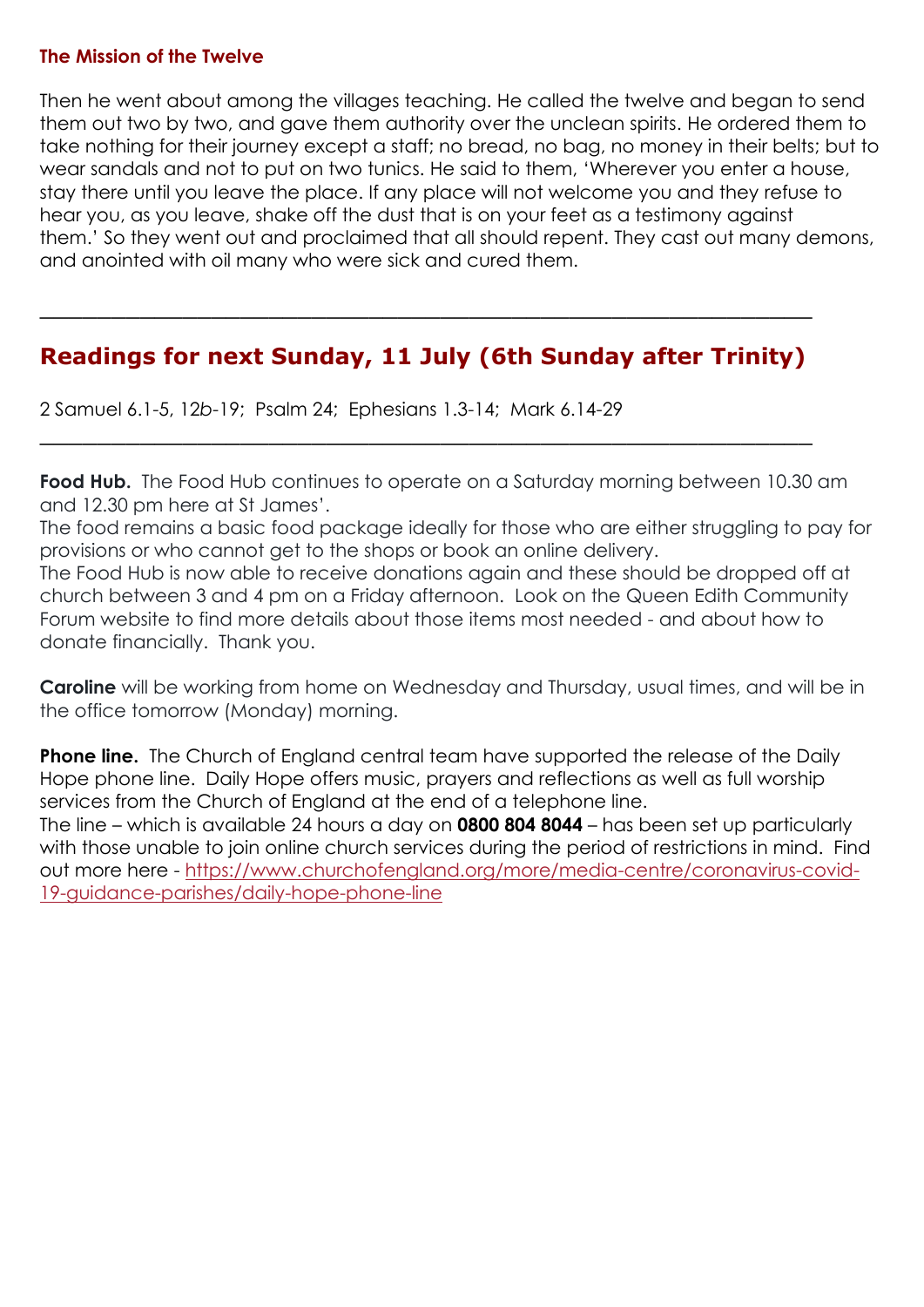#### **The Mission of the Twelve**

Then he went about among the villages teaching. He called the twelve and began to send them out two by two, and gave them authority over the unclean spirits. He ordered them to take nothing for their journey except a staff; no bread, no bag, no money in their belts; but to wear sandals and not to put on two tunics. He said to them, 'Wherever you enter a house, stay there until you leave the place. If any place will not welcome you and they refuse to hear you, as you leave, shake off the dust that is on your feet as a testimony against them.' So they went out and proclaimed that all should repent. They cast out many demons, and anointed with oil many who were sick and cured them.

## **Readings for next Sunday, 11 July (6th Sunday after Trinity)**

 $\_$  , and the set of the set of the set of the set of the set of the set of the set of the set of the set of the set of the set of the set of the set of the set of the set of the set of the set of the set of the set of th

\_\_\_\_\_\_\_\_\_\_\_\_\_\_\_\_\_\_\_\_\_\_\_\_\_\_\_\_\_\_\_\_\_\_\_\_\_\_\_\_\_\_\_\_\_\_\_\_\_\_\_\_\_\_

2 Samuel 6.1-5, 12*b*-19; Psalm 24; Ephesians 1.3-14; Mark 6.14-29

**Food Hub.** The Food Hub continues to operate on a Saturday morning between 10.30 am and 12.30 pm here at St James'.

The food remains a basic food package ideally for those who are either struggling to pay for provisions or who cannot get to the shops or book an online delivery.

The Food Hub is now able to receive donations again and these should be dropped off at church between 3 and 4 pm on a Friday afternoon. Look on the Queen Edith Community Forum website to find more details about those items most needed - and about how to donate financially. Thank you.

**Caroline** will be working from home on Wednesday and Thursday, usual times, and will be in the office tomorrow (Monday) morning.

**Phone line.** The Church of England central team have supported the release of the Daily Hope phone line. Daily Hope offers music, prayers and reflections as well as full worship services from the Church of England at the end of a telephone line.

The line – which is available 24 hours a day on **0800 804 8044** – has been set up particularly with those unable to join online church services during the period of restrictions in mind. Find out more here - [https://www.churchofengland.org/more/media-centre/coronavirus-covid-](https://www.churchofengland.org/more/media-centre/coronavirus-covid-19-guidance-parishes/daily-hope-phone-line)[19-guidance-parishes/daily-hope-phone-line](https://www.churchofengland.org/more/media-centre/coronavirus-covid-19-guidance-parishes/daily-hope-phone-line)